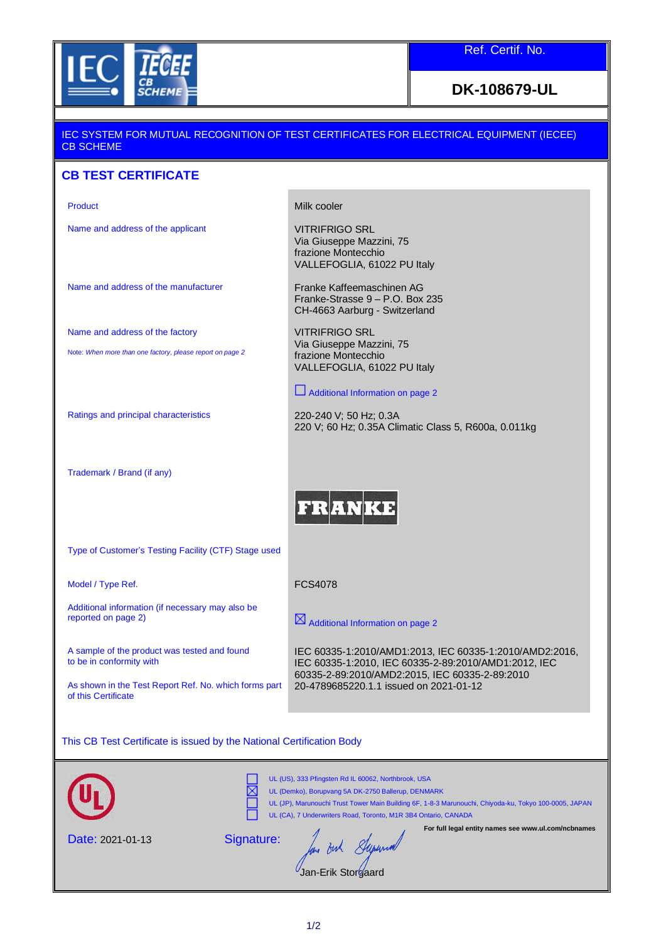

Ref. Certif. No.

## **DK-108679-UL**

## IEC SYSTEM FOR MUTUAL RECOGNITION OF TEST CERTIFICATES FOR ELECTRICAL EQUIPMENT (IECEE) CB SCHEME

## **CB TEST CERTIFICATE**

Name and address of the applicant VITRIFRIGO SRL

Product Nilk cooler

VITRIFRIGO SRL Via Giuseppe Mazzini, 75 frazione Montecchio

Via Giuseppe Mazzini, 75 frazione Montecchio VALLEFOGLIA, 61022 PU Italy

Franke-Strasse 9 – P.O. Box 235 CH-4663 Aarburg - Switzerland

VALLEFOGLIA, 61022 PU Italy

Additional Information on page 2

220 V; 60 Hz; 0.35A Climatic Class 5, R600a, 0.011kg

Name and address of the manufacturer Franke Kaffeemaschinen AG

Name and address of the factory

Note: *When more than one factory, please report on page 2*

Ratings and principal characteristics 220-240 V; 50 Hz; 0.3A

Trademark / Brand (if any)

**FRANI** 

Type of Customer's Testing Facility (CTF) Stage used

Model / Type Ref. The CS4078

Additional information (if necessary may also be reported on page 2)

A sample of the product was tested and found to be in conformity with

As shown in the Test Report Ref. No. which forms part of this Certificate

 $\boxtimes$  Additional Information on page 2

IEC 60335-1:2010/AMD1:2013, IEC 60335-1:2010/AMD2:2016, IEC 60335-1:2010, IEC 60335-2-89:2010/AMD1:2012, IEC 60335-2-89:2010/AMD2:2015, IEC 60335-2-89:2010 20-4789685220.1.1 issued on 2021-01-12

This CB Test Certificate is issued by the National Certification Body

|                         | UL (US), 333 Pfingsten Rd IL 60062, Northbrook, USA<br>UL (Demko), Borupvang 5A DK-2750 Ballerup, DENMARK<br>UL (JP), Marunouchi Trust Tower Main Building 6F, 1-8-3 Marunouchi, Chiyoda-ku, Tokyo 100-0005, JAPAN<br>UL (CA), 7 Underwriters Road, Toronto, M1R 3B4 Ontario, CANADA |
|-------------------------|--------------------------------------------------------------------------------------------------------------------------------------------------------------------------------------------------------------------------------------------------------------------------------------|
| <b>Date: 2021-01-13</b> | For full legal entity names see www.ul.com/ncbnames<br>Signature:<br>Jan-Erik Storgaard                                                                                                                                                                                              |